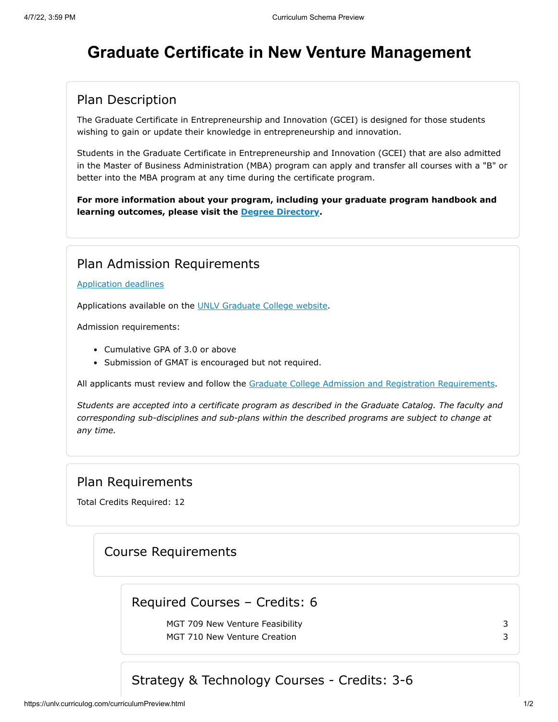# **Graduate Certificate in New Venture Management**

#### Plan Description

The Graduate Certificate in Entrepreneurship and Innovation (GCEI) is designed for those students wishing to gain or update their knowledge in entrepreneurship and innovation.

Students in the Graduate Certificate in Entrepreneurship and Innovation (GCEI) that are also admitted in the Master of Business Administration (MBA) program can apply and transfer all courses with a "B" or better into the MBA program at any time during the certificate program.

**For more information about your program, including your graduate program handbook and learning outcomes, please visit the [Degree Directory.](http://www.unlv.edu/certificate/grad-new-venture-management)**

#### Plan Admission Requirements

#### [Application deadlines](http://www.unlv.edu/graduatecollege/application-deadlines)

Applications available on the [UNLV Graduate College website.](http://graduatecollege.unlv.edu/admissions/)

Admission requirements:

- Cumulative GPA of 3.0 or above
- Submission of GMAT is encouraged but not required.

All applicants must review and follow the [Graduate College Admission and Registration Requirements](http://www.unlv.edu/graduatecollege/futurestudents).

*Students are accepted into a certificate program as described in the Graduate Catalog. The faculty and corresponding sub-disciplines and sub-plans within the described programs are subject to change at any time.*

#### Plan Requirements

Total Credits Required: 12

#### Course Requirements

## Required Courses – Credits: 6

MGT 709 New Venture Feasibility 3 MGT 710 New Venture Creation 3

# Strategy & Technology Courses - Credits: 3-6